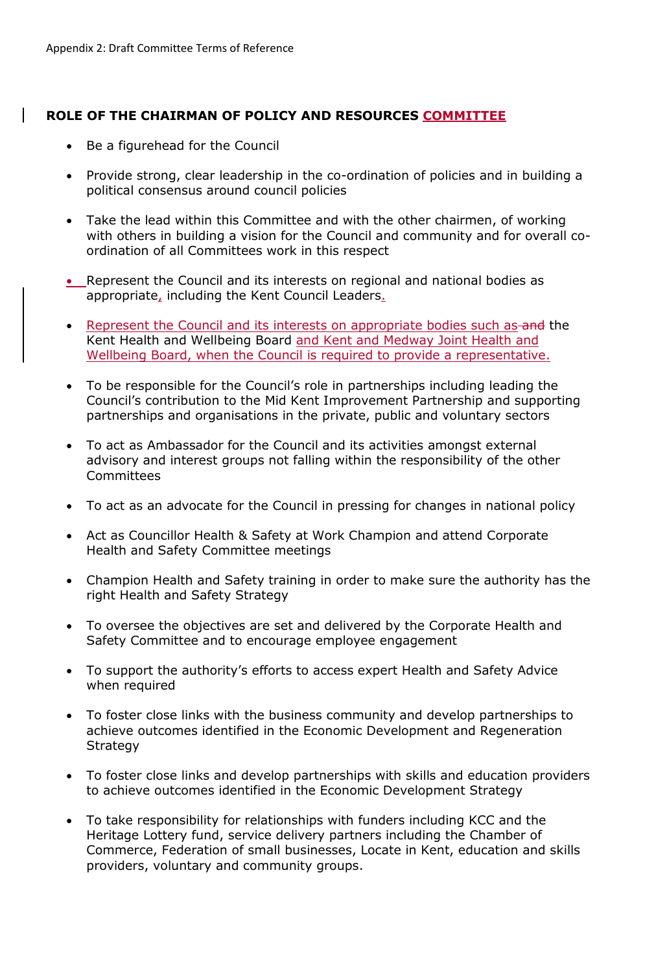## **ROLE OF THE CHAIRMAN OF POLICY AND RESOURCES COMMITTEE**

- Be a figurehead for the Council
- Provide strong, clear leadership in the co-ordination of policies and in building a political consensus around council policies
- Take the lead within this Committee and with the other chairmen, of working with others in building a vision for the Council and community and for overall coordination of all Committees work in this respect
- Represent the Council and its interests on regional and national bodies as appropriate, including the Kent Council Leaders.
- Represent the Council and its interests on appropriate bodies such as and the Kent Health and Wellbeing Board and Kent and Medway Joint Health and Wellbeing Board, when the Council is required to provide a representative.
- To be responsible for the Council's role in partnerships including leading the Council's contribution to the Mid Kent Improvement Partnership and supporting partnerships and organisations in the private, public and voluntary sectors
- To act as Ambassador for the Council and its activities amongst external advisory and interest groups not falling within the responsibility of the other **Committees**
- To act as an advocate for the Council in pressing for changes in national policy
- Act as Councillor Health & Safety at Work Champion and attend Corporate Health and Safety Committee meetings
- Champion Health and Safety training in order to make sure the authority has the right Health and Safety Strategy
- To oversee the objectives are set and delivered by the Corporate Health and Safety Committee and to encourage employee engagement
- To support the authority's efforts to access expert Health and Safety Advice when required
- To foster close links with the business community and develop partnerships to achieve outcomes identified in the Economic Development and Regeneration Strategy
- To foster close links and develop partnerships with skills and education providers to achieve outcomes identified in the Economic Development Strategy
- To take responsibility for relationships with funders including KCC and the Heritage Lottery fund, service delivery partners including the Chamber of Commerce, Federation of small businesses, Locate in Kent, education and skills providers, voluntary and community groups.